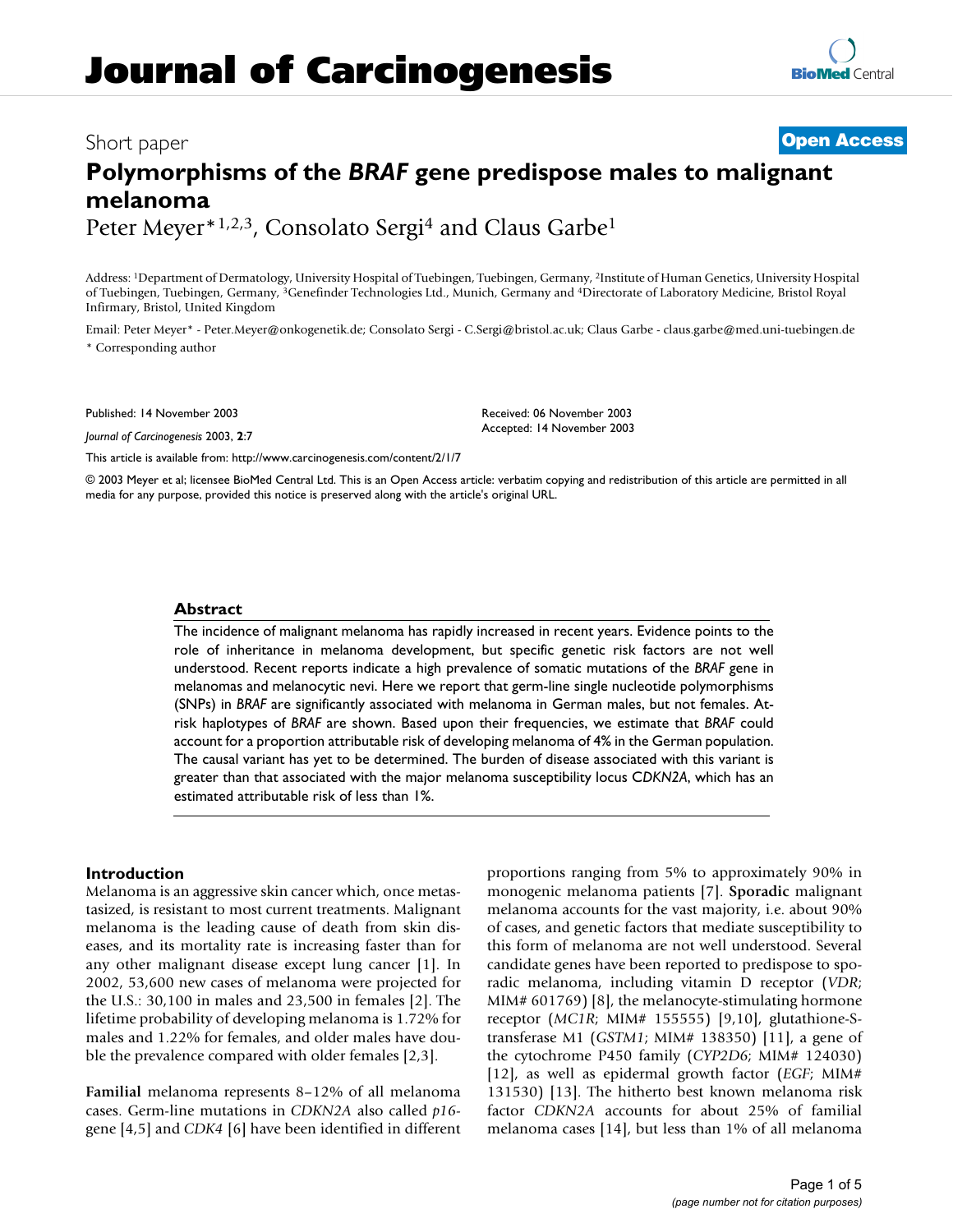## **Journal of Carcinogenesis**

# **[BioMed](http://www.biomedcentral.com/)** Central

### Short paper **[Open Access](http://www.biomedcentral.com/info/about/charter/) Polymorphisms of the** *BRAF* **gene predispose males to malignant melanoma**

Peter Meyer\*1,2,3, Consolato Sergi<sup>4</sup> and Claus Garbe<sup>1</sup>

Address: 1Department of Dermatology, University Hospital of Tuebingen, Tuebingen, Germany, 2Institute of Human Genetics, University Hospital of Tuebingen, Tuebingen, Germany, 3Genefinder Technologies Ltd., Munich, Germany and 4Directorate of Laboratory Medicine, Bristol Royal Infirmary, Bristol, United Kingdom

Email: Peter Meyer\* - Peter.Meyer@onkogenetik.de; Consolato Sergi - C.Sergi@bristol.ac.uk; Claus Garbe - claus.garbe@med.uni-tuebingen.de \* Corresponding author

Published: 14 November 2003

*Journal of Carcinogenesis* 2003, **2**:7

Received: 06 November 2003 Accepted: 14 November 2003

[This article is available from: http://www.carcinogenesis.com/content/2/1/7](http://www.carcinogenesis.com/content/2/1/7)

© 2003 Meyer et al; licensee BioMed Central Ltd. This is an Open Access article: verbatim copying and redistribution of this article are permitted in all media for any purpose, provided this notice is preserved along with the article's original URL.

#### **Abstract**

The incidence of malignant melanoma has rapidly increased in recent years. Evidence points to the role of inheritance in melanoma development, but specific genetic risk factors are not well understood. Recent reports indicate a high prevalence of somatic mutations of the *BRAF* gene in melanomas and melanocytic nevi. Here we report that germ-line single nucleotide polymorphisms (SNPs) in *BRAF* are significantly associated with melanoma in German males, but not females. Atrisk haplotypes of *BRAF* are shown. Based upon their frequencies, we estimate that *BRAF* could account for a proportion attributable risk of developing melanoma of 4% in the German population. The causal variant has yet to be determined. The burden of disease associated with this variant is greater than that associated with the major melanoma susceptibility locus C*DKN2A*, which has an estimated attributable risk of less than 1%.

#### **Introduction**

Melanoma is an aggressive skin cancer which, once metastasized, is resistant to most current treatments. Malignant melanoma is the leading cause of death from skin diseases, and its mortality rate is increasing faster than for any other malignant disease except lung cancer [1]. In 2002, 53,600 new cases of melanoma were projected for the U.S.: 30,100 in males and 23,500 in females [2]. The lifetime probability of developing melanoma is 1.72% for males and 1.22% for females, and older males have double the prevalence compared with older females [2,3].

**Familial** melanoma represents 8–12% of all melanoma cases. Germ-line mutations in *CDKN2A* also called *p16* gene [4,5] and *CDK4* [6] have been identified in different proportions ranging from 5% to approximately 90% in monogenic melanoma patients [7]. **Sporadic** malignant melanoma accounts for the vast majority, i.e. about 90% of cases, and genetic factors that mediate susceptibility to this form of melanoma are not well understood. Several candidate genes have been reported to predispose to sporadic melanoma, including vitamin D receptor (*VDR*; MIM# 601769) [8], the melanocyte-stimulating hormone receptor (*MC1R*; MIM# 155555) [9,10], glutathione-Stransferase M1 (*GSTM1*; MIM# 138350) [11], a gene of the cytochrome P450 family (*CYP2D6*; MIM# 124030) [12], as well as epidermal growth factor (*EGF*; MIM# 131530) [13]. The hitherto best known melanoma risk factor *CDKN2A* accounts for about 25% of familial melanoma cases [14], but less than 1% of all melanoma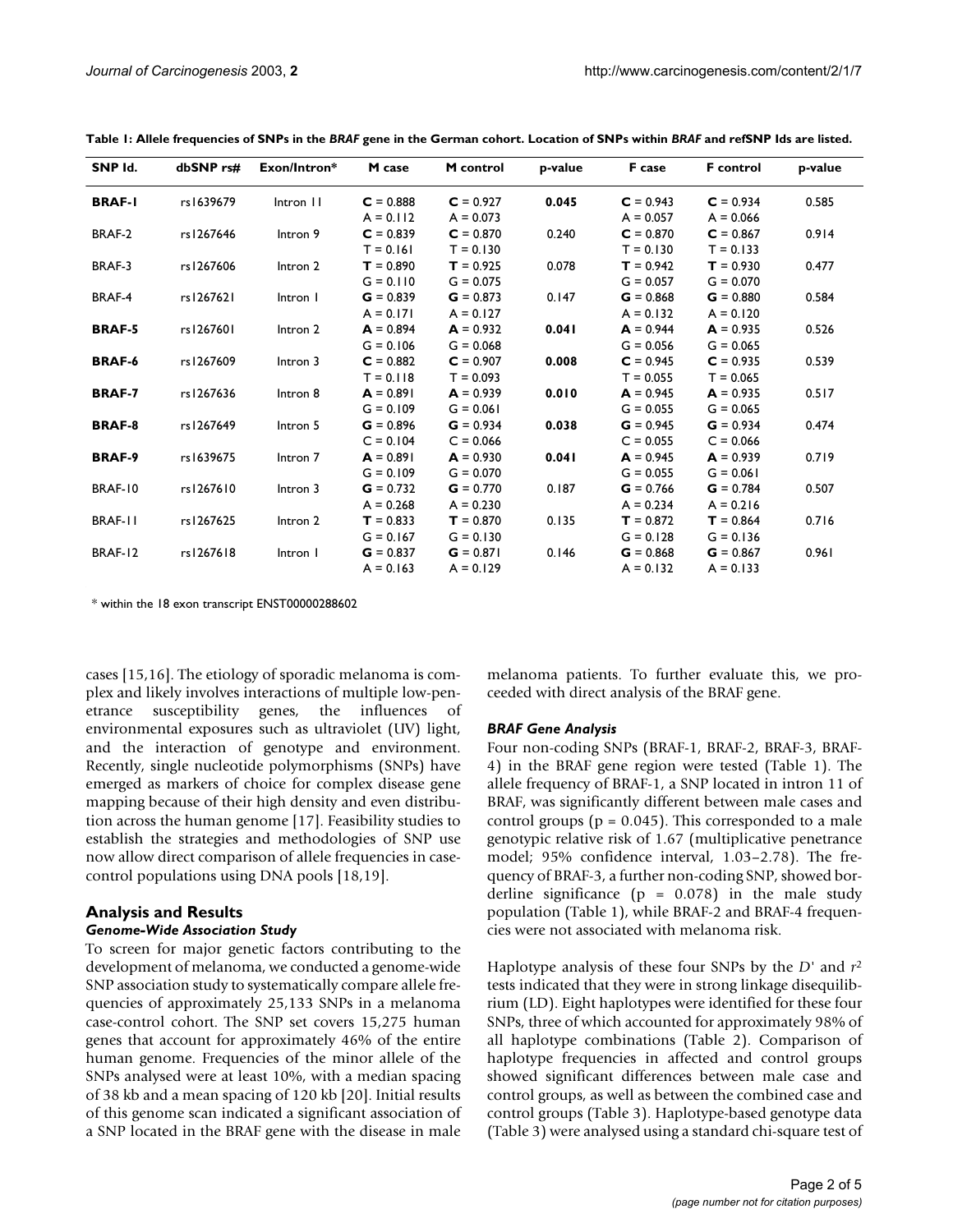| SNP Id.        | dbSNP rs# | Exon/Intron*        | M case      | M control   | p-value | F case      | <b>F</b> control | p-value |
|----------------|-----------|---------------------|-------------|-------------|---------|-------------|------------------|---------|
| <b>BRAF-I</b>  | rs1639679 | Intron II           | $C = 0.888$ | $C = 0.927$ | 0.045   | $C = 0.943$ | $C = 0.934$      | 0.585   |
|                |           |                     | $A = 0.112$ | $A = 0.073$ |         | $A = 0.057$ | $A = 0.066$      |         |
| BRAF-2         | rs1267646 | Intron 9            | $C = 0.839$ | $C = 0.870$ | 0.240   | $C = 0.870$ | $C = 0.867$      | 0.914   |
|                |           |                     | $T = 0.161$ | $T = 0.130$ |         | $T = 0.130$ | $T = 0.133$      |         |
| BRAF-3         | rs1267606 | Intron 2            | $T = 0.890$ | $T = 0.925$ | 0.078   | $T = 0.942$ | $T = 0.930$      | 0.477   |
|                |           |                     | $G = 0.110$ | $G = 0.075$ |         | $G = 0.057$ | $G = 0.070$      |         |
| BRAF-4         | rs1267621 | Intron I            | $G = 0.839$ | $G = 0.873$ | 0.147   | $G = 0.868$ | $G = 0.880$      | 0.584   |
|                |           |                     | $A = 0.171$ | $A = 0.127$ |         | $A = 0.132$ | $A = 0.120$      |         |
| <b>BRAF-5</b>  | rs1267601 | Intron 2            | $A = 0.894$ | $A = 0.932$ | 0.041   | $A = 0.944$ | $A = 0.935$      | 0.526   |
|                |           |                     | $G = 0.106$ | $G = 0.068$ |         | $G = 0.056$ | $G = 0.065$      |         |
| <b>BRAF-6</b>  | rs1267609 | Intron 3            | $C = 0.882$ | $C = 0.907$ | 0.008   | $C = 0.945$ | $C = 0.935$      | 0.539   |
|                |           |                     | $T = 0.118$ | $T = 0.093$ |         | $T = 0.055$ | $T = 0.065$      |         |
| <b>BRAF-7</b>  | rs1267636 | Intron 8            | $A = 0.891$ | $A = 0.939$ | 0.010   | $A = 0.945$ | $A = 0.935$      | 0.517   |
|                |           |                     | $G = 0.109$ | $G = 0.061$ |         | $G = 0.055$ | $G = 0.065$      |         |
| <b>BRAF-8</b>  | rs1267649 | Intron 5            | $G = 0.896$ | $G = 0.934$ | 0.038   | $G = 0.945$ | $G = 0.934$      | 0.474   |
|                |           |                     | $C = 0.104$ | $C = 0.066$ |         | $C = 0.055$ | $C = 0.066$      |         |
| <b>BRAF-9</b>  | rs1639675 | Intron <sub>7</sub> | $A = 0.891$ | $A = 0.930$ | 0.041   | $A = 0.945$ | $A = 0.939$      | 0.719   |
|                |           |                     | $G = 0.109$ | $G = 0.070$ |         | $G = 0.055$ | $G = 0.061$      |         |
| BRAF-10        | rs1267610 | Intron 3            | $G = 0.732$ | $G = 0.770$ | 0.187   | $G = 0.766$ | $G = 0.784$      | 0.507   |
|                |           |                     | $A = 0.268$ | $A = 0.230$ |         | $A = 0.234$ | $A = 0.216$      |         |
| <b>BRAF-II</b> | rs1267625 | Intron 2            | $T = 0.833$ | $T = 0.870$ | 0.135   | $T = 0.872$ | $T = 0.864$      | 0.716   |
|                |           |                     | $G = 0.167$ | $G = 0.130$ |         | $G = 0.128$ | $G = 0.136$      |         |
| BRAF-12        | rs1267618 | Intron I            | $G = 0.837$ | $G = 0.871$ | 0.146   | $G = 0.868$ | $G = 0.867$      | 0.961   |
|                |           |                     | $A = 0.163$ | $A = 0.129$ |         | $A = 0.132$ | $A = 0.133$      |         |
|                |           |                     |             |             |         |             |                  |         |

<span id="page-1-0"></span>**Table 1: Allele frequencies of SNPs in the** *BRAF* **gene in the German cohort. Location of SNPs within** *BRAF* **and refSNP Ids are listed.**

\* within the 18 exon transcript ENST00000288602

cases [15,16]. The etiology of sporadic melanoma is complex and likely involves interactions of multiple low-penetrance susceptibility genes, the influences of environmental exposures such as ultraviolet (UV) light, and the interaction of genotype and environment. Recently, single nucleotide polymorphisms (SNPs) have emerged as markers of choice for complex disease gene mapping because of their high density and even distribution across the human genome [17]. Feasibility studies to establish the strategies and methodologies of SNP use now allow direct comparison of allele frequencies in casecontrol populations using DNA pools [18,19].

#### **Analysis and Results**

#### *Genome-Wide Association Study*

To screen for major genetic factors contributing to the development of melanoma, we conducted a genome-wide SNP association study to systematically compare allele frequencies of approximately 25,133 SNPs in a melanoma case-control cohort. The SNP set covers 15,275 human genes that account for approximately 46% of the entire human genome. Frequencies of the minor allele of the SNPs analysed were at least 10%, with a median spacing of 38 kb and a mean spacing of 120 kb [20]. Initial results of this genome scan indicated a significant association of a SNP located in the BRAF gene with the disease in male melanoma patients. To further evaluate this, we proceeded with direct analysis of the BRAF gene.

#### *BRAF Gene Analysis*

Four non-coding SNPs (BRAF-1, BRAF-2, BRAF-3, BRAF-4) in the BRAF gene region were tested (Table [1\)](#page-1-0). The allele frequency of BRAF-1, a SNP located in intron 11 of BRAF, was significantly different between male cases and control groups ( $p = 0.045$ ). This corresponded to a male genotypic relative risk of 1.67 (multiplicative penetrance model; 95% confidence interval, 1.03–2.78). The frequency of BRAF-3, a further non-coding SNP, showed borderline significance  $(p = 0.078)$  in the male study population (Table [1\)](#page-1-0), while BRAF-2 and BRAF-4 frequencies were not associated with melanoma risk.

Haplotype analysis of these four SNPs by the *D'* and *r*<sup>2</sup> tests indicated that they were in strong linkage disequilibrium (LD). Eight haplotypes were identified for these four SNPs, three of which accounted for approximately 98% of all haplotype combinations (Table [2](#page-2-0)). Comparison of haplotype frequencies in affected and control groups showed significant differences between male case and control groups, as well as between the combined case and control groups (Table [3](#page-2-1)). Haplotype-based genotype data (Table [3](#page-2-1)) were analysed using a standard chi-square test of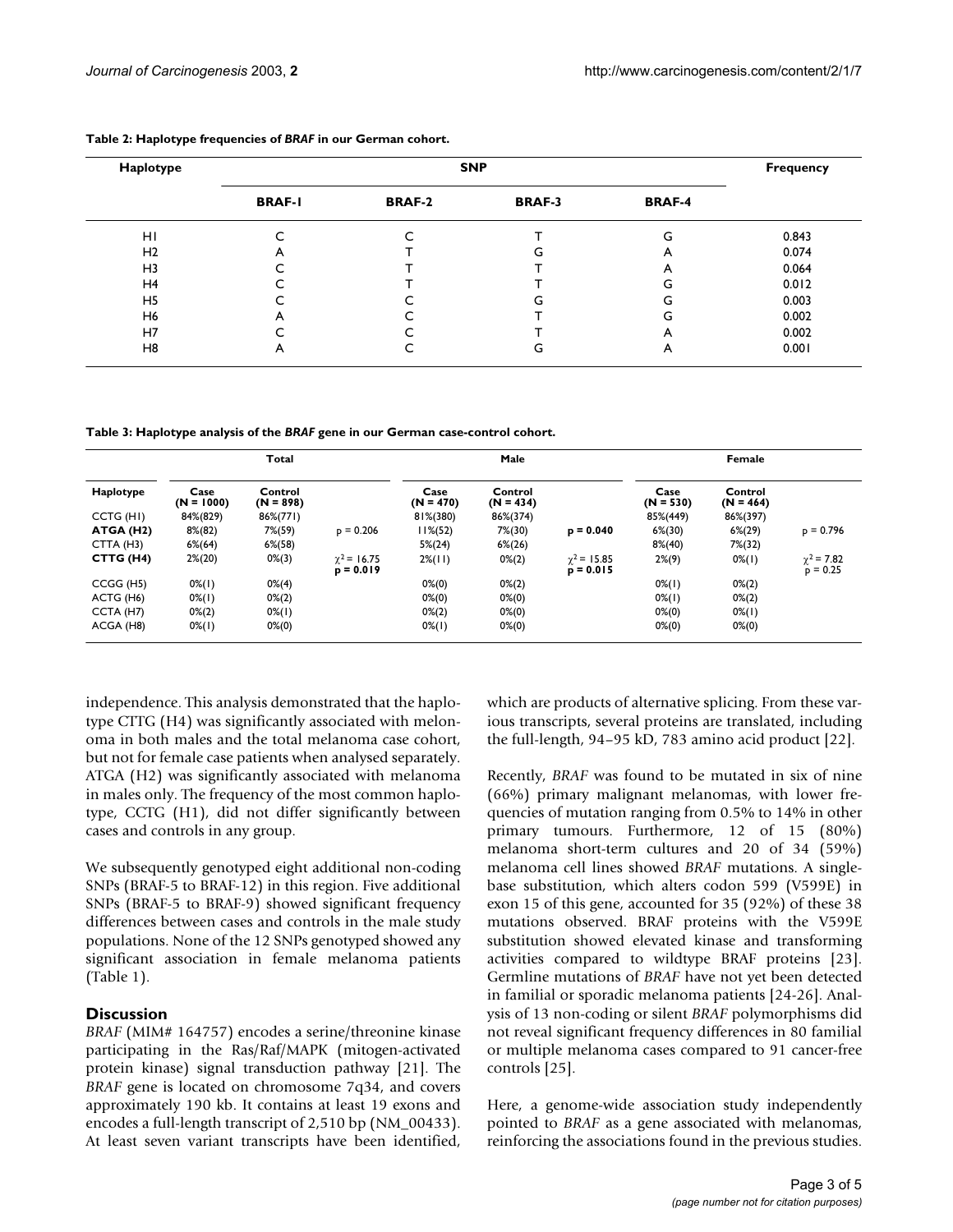| Haplotype      |               | <b>Frequency</b> |               |               |       |
|----------------|---------------|------------------|---------------|---------------|-------|
|                | <b>BRAF-I</b> | <b>BRAF-2</b>    | <b>BRAF-3</b> | <b>BRAF-4</b> |       |
| HI             |               | ⌒                |               | G             | 0.843 |
| H <sub>2</sub> | A             |                  | G             | A             | 0.074 |
| H <sub>3</sub> | ⌒             |                  |               | A             | 0.064 |
| H <sub>4</sub> | ∼             |                  |               | G             | 0.012 |
| H <sub>5</sub> | ∼             |                  | G             | G             | 0.003 |
| H6             | A             |                  |               | G             | 0.002 |
| H7             | ╭             |                  |               | A             | 0.002 |
| H <sub>8</sub> | A             | ֊                | G             | A             | 0.001 |

#### <span id="page-2-0"></span>**Table 2: Haplotype frequencies of** *BRAF* **in our German cohort.**

<span id="page-2-1"></span>**Table 3: Haplotype analysis of the** *BRAF* **gene in our German case-control cohort.**

|                        | Total                |                        |                              | Male                |                        |                                   | Female              |                        |                               |
|------------------------|----------------------|------------------------|------------------------------|---------------------|------------------------|-----------------------------------|---------------------|------------------------|-------------------------------|
| Haplotype              | Case<br>$(N = 1000)$ | Control<br>$(N = 898)$ |                              | Case<br>$(N = 470)$ | Control<br>$(N = 434)$ |                                   | Case<br>$(N = 530)$ | Control<br>$(N = 464)$ |                               |
| CCTG (HI)              | 84%(829)             | 86%(771)               |                              | 81%(380)            | 86%(374)               |                                   | 85%(449)            | 86%(397)               |                               |
| ATGA (H2)              | $8\%(82)$            | $7\% (59)$             | $p = 0.206$                  | $11\% (52)$         | $7\% (30)$             | $p = 0.040$                       | $6\% (30)$          | $6\%(29)$              | $p = 0.796$                   |
| CTTA (H3)              | $6\%(64)$            | $6\% (58)$             |                              | $5\%(24)$           | $6\%(26)$              |                                   | $8\%(40)$           | $7\% (32)$             |                               |
| CTTG (H4)              | $2\%(20)$            | $0\%$ (3)              | $y^2 = 16.75$<br>$p = 0.019$ | $2\frac{2}{(11)}$   | $0\% (2)$              | $\gamma^2$ = 15.85<br>$p = 0.015$ | $2\%(9)$            | $0\%$ (1)              | $\chi^2$ = 7.82<br>$p = 0.25$ |
| CCGG (H5)              | $0\%$ (1)            | $0\% (4)$              |                              | $0\% (0)$           | $0\% (2)$              |                                   | $0\%$ (1)           | $0\% (2)$              |                               |
| ACTG (H <sub>6</sub> ) | $0\%$ (1)            | $0\% (2)$              |                              | $0\% (0)$           | $0\% (0)$              |                                   | $0\%$ (1)           | $0\% (2)$              |                               |
| CCTA (H7)              | $0\% (2)$            | $0\%$ (1)              |                              | $0\% (2)$           | $0\% (0)$              |                                   | $0\% (0)$           | $0\%$ (1)              |                               |
| ACGA (H8)              | $0\%$ (1)            | $0\% (0)$              |                              | $0\%$ (1)           | $0\% (0)$              |                                   | $0\% (0)$           | $0\%(0)$               |                               |

independence. This analysis demonstrated that the haplotype CTTG (H4) was significantly associated with melonoma in both males and the total melanoma case cohort, but not for female case patients when analysed separately. ATGA (H2) was significantly associated with melanoma in males only. The frequency of the most common haplotype, CCTG (H1), did not differ significantly between cases and controls in any group.

We subsequently genotyped eight additional non-coding SNPs (BRAF-5 to BRAF-12) in this region. Five additional SNPs (BRAF-5 to BRAF-9) showed significant frequency differences between cases and controls in the male study populations. None of the 12 SNPs genotyped showed any significant association in female melanoma patients (Table [1\)](#page-1-0).

#### **Discussion**

*BRAF* (MIM# 164757) encodes a serine/threonine kinase participating in the Ras/Raf/MAPK (mitogen-activated protein kinase) signal transduction pathway [21]. The *BRAF* gene is located on chromosome 7q34, and covers approximately 190 kb. It contains at least 19 exons and encodes a full-length transcript of 2,510 bp (NM\_00433). At least seven variant transcripts have been identified,

which are products of alternative splicing. From these various transcripts, several proteins are translated, including the full-length, 94–95 kD, 783 amino acid product [22].

Recently, *BRAF* was found to be mutated in six of nine (66%) primary malignant melanomas, with lower frequencies of mutation ranging from 0.5% to 14% in other primary tumours. Furthermore, 12 of 15 (80%) melanoma short-term cultures and 20 of 34 (59%) melanoma cell lines showed *BRAF* mutations. A singlebase substitution, which alters codon 599 (V599E) in exon 15 of this gene, accounted for 35 (92%) of these 38 mutations observed. BRAF proteins with the V599E substitution showed elevated kinase and transforming activities compared to wildtype BRAF proteins [23]. Germline mutations of *BRAF* have not yet been detected in familial or sporadic melanoma patients [24-26]. Analysis of 13 non-coding or silent *BRAF* polymorphisms did not reveal significant frequency differences in 80 familial or multiple melanoma cases compared to 91 cancer-free controls [25].

Here, a genome-wide association study independently pointed to *BRAF* as a gene associated with melanomas, reinforcing the associations found in the previous studies.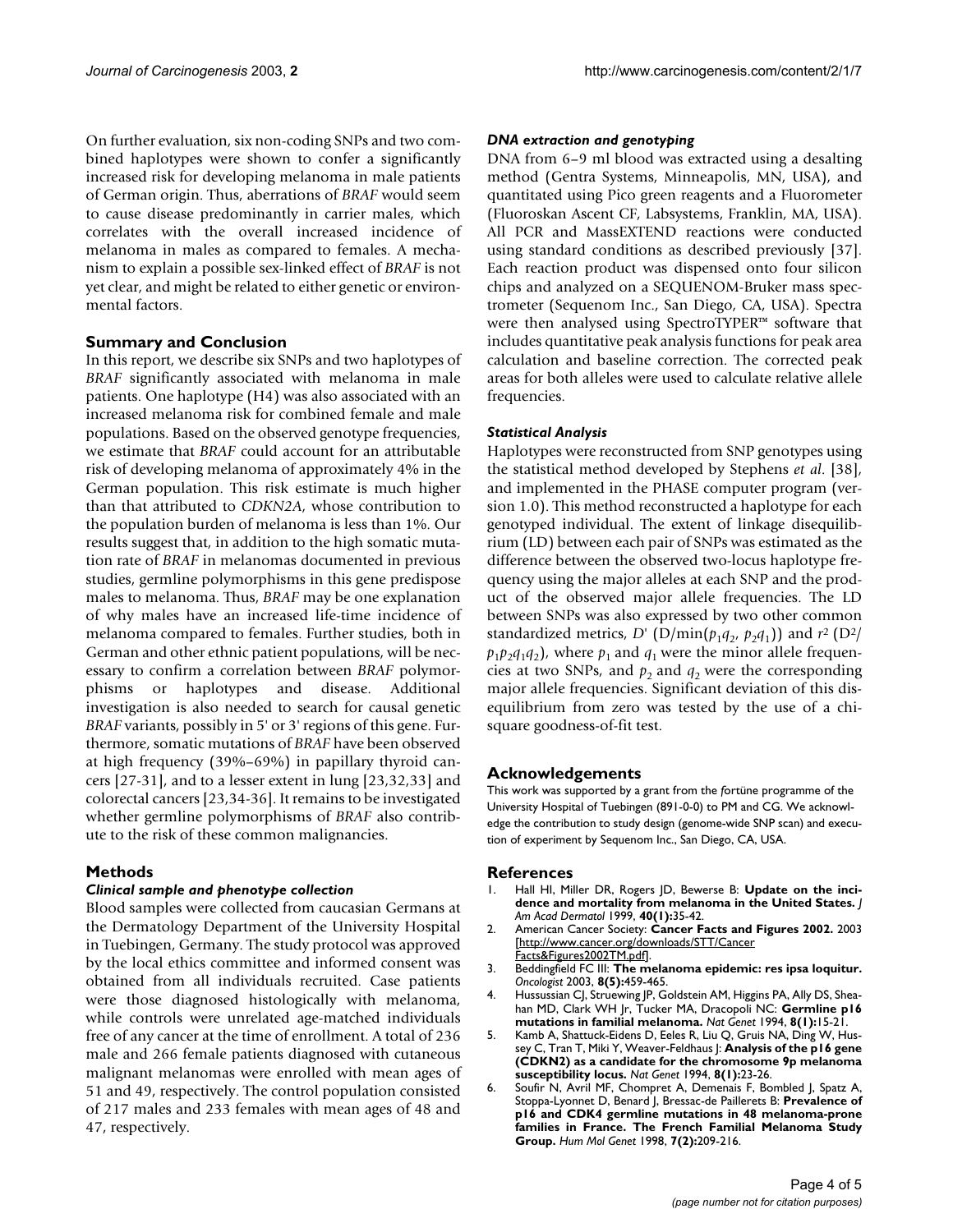On further evaluation, six non-coding SNPs and two combined haplotypes were shown to confer a significantly increased risk for developing melanoma in male patients of German origin. Thus, aberrations of *BRAF* would seem to cause disease predominantly in carrier males, which correlates with the overall increased incidence of melanoma in males as compared to females. A mechanism to explain a possible sex-linked effect of *BRAF* is not yet clear, and might be related to either genetic or environmental factors.

#### **Summary and Conclusion**

In this report, we describe six SNPs and two haplotypes of *BRAF* significantly associated with melanoma in male patients. One haplotype (H4) was also associated with an increased melanoma risk for combined female and male populations. Based on the observed genotype frequencies, we estimate that *BRAF* could account for an attributable risk of developing melanoma of approximately 4% in the German population. This risk estimate is much higher than that attributed to *CDKN2A*, whose contribution to the population burden of melanoma is less than 1%. Our results suggest that, in addition to the high somatic mutation rate of *BRAF* in melanomas documented in previous studies, germline polymorphisms in this gene predispose males to melanoma. Thus, *BRAF* may be one explanation of why males have an increased life-time incidence of melanoma compared to females. Further studies, both in German and other ethnic patient populations, will be necessary to confirm a correlation between *BRAF* polymorphisms or haplotypes and disease. Additional investigation is also needed to search for causal genetic *BRAF* variants, possibly in 5' or 3' regions of this gene. Furthermore, somatic mutations of *BRAF* have been observed at high frequency (39%–69%) in papillary thyroid cancers [27-31], and to a lesser extent in lung [23,32,33] and colorectal cancers [23,34-36]. It remains to be investigated whether germline polymorphisms of *BRAF* also contribute to the risk of these common malignancies.

#### **Methods**

#### *Clinical sample and phenotype collection*

Blood samples were collected from caucasian Germans at the Dermatology Department of the University Hospital in Tuebingen, Germany. The study protocol was approved by the local ethics committee and informed consent was obtained from all individuals recruited. Case patients were those diagnosed histologically with melanoma, while controls were unrelated age-matched individuals free of any cancer at the time of enrollment. A total of 236 male and 266 female patients diagnosed with cutaneous malignant melanomas were enrolled with mean ages of 51 and 49, respectively. The control population consisted of 217 males and 233 females with mean ages of 48 and 47, respectively.

#### *DNA extraction and genotyping*

DNA from 6–9 ml blood was extracted using a desalting method (Gentra Systems, Minneapolis, MN, USA), and quantitated using Pico green reagents and a Fluorometer (Fluoroskan Ascent CF, Labsystems, Franklin, MA, USA). All PCR and MassEXTEND reactions were conducted using standard conditions as described previously [37]. Each reaction product was dispensed onto four silicon chips and analyzed on a SEQUENOM-Bruker mass spectrometer (Sequenom Inc., San Diego, CA, USA). Spectra were then analysed using SpectroTYPER™ software that includes quantitative peak analysis functions for peak area calculation and baseline correction. The corrected peak areas for both alleles were used to calculate relative allele frequencies.

#### *Statistical Analysis*

Haplotypes were reconstructed from SNP genotypes using the statistical method developed by Stephens *et al*. [38], and implemented in the PHASE computer program (version 1.0). This method reconstructed a haplotype for each genotyped individual. The extent of linkage disequilibrium (LD) between each pair of SNPs was estimated as the difference between the observed two-locus haplotype frequency using the major alleles at each SNP and the product of the observed major allele frequencies. The LD between SNPs was also expressed by two other common standardized metrics, *D'* ( $D/\min(p_1q_2, p_2q_1)$ ) and  $r^2$  ( $D^2/$  $p_1p_2q_1q_2$ , where  $p_1$  and  $q_1$  were the minor allele frequencies at two SNPs, and  $p_2$  and  $q_2$  were the corresponding major allele frequencies. Significant deviation of this disequilibrium from zero was tested by the use of a chisquare goodness-of-fit test.

#### **Acknowledgements**

This work was supported by a grant from the *f*ortüne programme of the University Hospital of Tuebingen (891-0-0) to PM and CG. We acknowledge the contribution to study design (genome-wide SNP scan) and execution of experiment by Sequenom Inc., San Diego, CA, USA.

#### **References**

- 1. Hall HI, Miller DR, Rogers JD, Bewerse B: **[Update on the inci](http://www.ncbi.nlm.nih.gov/entrez/query.fcgi?cmd=Retrieve&db=PubMed&dopt=Abstract&list_uids=9922010)[dence and mortality from melanoma in the United States.](http://www.ncbi.nlm.nih.gov/entrez/query.fcgi?cmd=Retrieve&db=PubMed&dopt=Abstract&list_uids=9922010)** *J Am Acad Dermatol* 1999, **40(1):**35-42.
- 2. American Cancer Society: **Cancer Facts and Figures 2002.** 2003 [[http://www.cancer.org/downloads/STT/Cancer](http://www.cancer.org/downloads/STT/CancerFacts&Figures2002TM.pdf) [Facts&Figures2002TM.pdf](http://www.cancer.org/downloads/STT/CancerFacts&Figures2002TM.pdf)].
- 3. Beddingfield FC III: **[The melanoma epidemic: res ipsa loquitur.](http://www.ncbi.nlm.nih.gov/entrez/query.fcgi?cmd=Retrieve&db=PubMed&dopt=Abstract&list_uids=14530499)** *Oncologist* 2003, **8(5):**459-465.
- 4. Hussussian CJ, Struewing JP, Goldstein AM, Higgins PA, Ally DS, Sheahan MD, Clark WH Jr, Tucker MA, Dracopoli NC: **[Germline p16](http://www.ncbi.nlm.nih.gov/entrez/query.fcgi?cmd=Retrieve&db=PubMed&dopt=Abstract&list_uids=7987387) [mutations in familial melanoma.](http://www.ncbi.nlm.nih.gov/entrez/query.fcgi?cmd=Retrieve&db=PubMed&dopt=Abstract&list_uids=7987387)** *Nat Genet* 1994, **8(1):**15-21.
- 5. Kamb A, Shattuck-Eidens D, Eeles R, Liu Q, Gruis NA, Ding W, Hussey C, Tran T, Miki Y, Weaver-Feldhaus J: **[Analysis of the p16 gene](http://www.ncbi.nlm.nih.gov/entrez/query.fcgi?cmd=Retrieve&db=PubMed&dopt=Abstract&list_uids=7987388) [\(CDKN2\) as a candidate for the chromosome 9p melanoma](http://www.ncbi.nlm.nih.gov/entrez/query.fcgi?cmd=Retrieve&db=PubMed&dopt=Abstract&list_uids=7987388) [susceptibility locus.](http://www.ncbi.nlm.nih.gov/entrez/query.fcgi?cmd=Retrieve&db=PubMed&dopt=Abstract&list_uids=7987388)** *Nat Genet* 1994, **8(1):**23-26.
- 6. Soufir N, Avril MF, Chompret A, Demenais F, Bombled J, Spatz A, Stoppa-Lyonnet D, Benard J, Bressac-de Paillerets B: [Prevalence of](http://www.ncbi.nlm.nih.gov/entrez/query.fcgi?cmd=Retrieve&db=PubMed&dopt=Abstract&list_uids=10.1093/hmg/7.2.209) **p16 and CDK4 germline mutations in 48 melanoma-prone [families in France. The French Familial Melanoma Study](http://www.ncbi.nlm.nih.gov/entrez/query.fcgi?cmd=Retrieve&db=PubMed&dopt=Abstract&list_uids=10.1093/hmg/7.2.209) [Group](http://www.ncbi.nlm.nih.gov/entrez/query.fcgi?cmd=Retrieve&db=PubMed&dopt=Abstract&list_uids=10.1093/hmg/7.2.209)[.](http://www.ncbi.nlm.nih.gov/entrez/query.fcgi?cmd=Retrieve&db=PubMed&dopt=Abstract&list_uids=9425228)** *Hum Mol Genet* 1998, **7(2):**209-216.